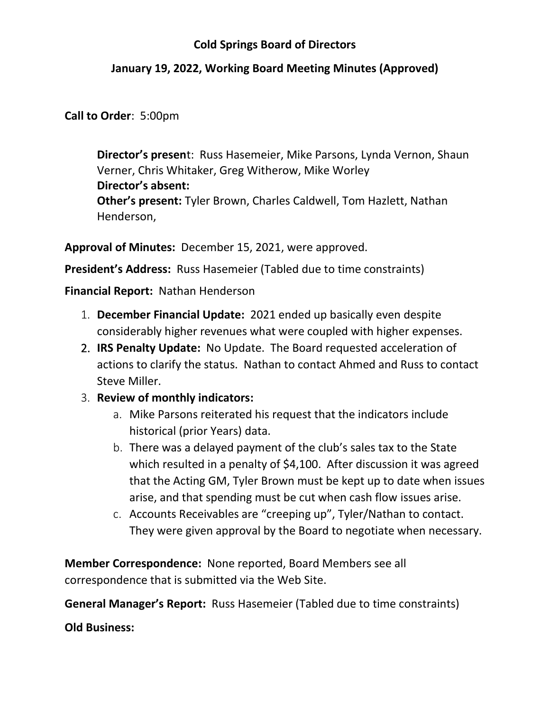# **Cold Springs Board of Directors**

# **January 19, 2022, Working Board Meeting Minutes (Approved)**

**Call to Order**: 5:00pm

**Director's presen**t: Russ Hasemeier, Mike Parsons, Lynda Vernon, Shaun Verner, Chris Whitaker, Greg Witherow, Mike Worley **Director's absent: Other's present:** Tyler Brown, Charles Caldwell, Tom Hazlett, Nathan Henderson,

**Approval of Minutes:** December 15, 2021, were approved.

**President's Address:** Russ Hasemeier (Tabled due to time constraints)

# **Financial Report:** Nathan Henderson

- 1. **December Financial Update:** 2021 ended up basically even despite considerably higher revenues what were coupled with higher expenses.
- 2. **IRS Penalty Update:** No Update. The Board requested acceleration of actions to clarify the status. Nathan to contact Ahmed and Russ to contact Steve Miller.
- 3. **Review of monthly indicators:** 
	- a. Mike Parsons reiterated his request that the indicators include historical (prior Years) data.
	- b. There was a delayed payment of the club's sales tax to the State which resulted in a penalty of \$4,100. After discussion it was agreed that the Acting GM, Tyler Brown must be kept up to date when issues arise, and that spending must be cut when cash flow issues arise.
	- c. Accounts Receivables are "creeping up", Tyler/Nathan to contact. They were given approval by the Board to negotiate when necessary.

**Member Correspondence:** None reported, Board Members see all correspondence that is submitted via the Web Site.

**General Manager's Report:** Russ Hasemeier (Tabled due to time constraints)

**Old Business:**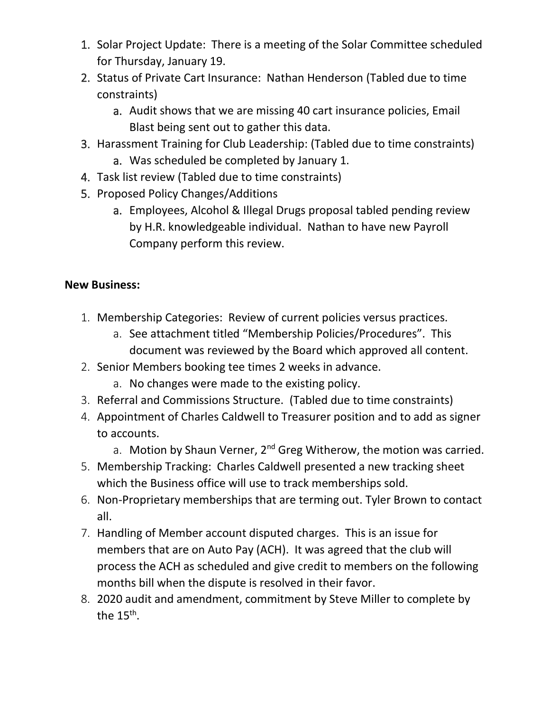- 1. Solar Project Update: There is a meeting of the Solar Committee scheduled for Thursday, January 19.
- 2. Status of Private Cart Insurance: Nathan Henderson (Tabled due to time constraints)
	- a. Audit shows that we are missing 40 cart insurance policies, Email Blast being sent out to gather this data.
- 3. Harassment Training for Club Leadership: (Tabled due to time constraints)
	- a. Was scheduled be completed by January 1.
- 4. Task list review (Tabled due to time constraints)
- 5. Proposed Policy Changes/Additions
	- a. Employees, Alcohol & Illegal Drugs proposal tabled pending review by H.R. knowledgeable individual. Nathan to have new Payroll Company perform this review.

# **New Business:**

- 1. Membership Categories: Review of current policies versus practices.
	- a. See attachment titled "Membership Policies/Procedures". This document was reviewed by the Board which approved all content.
- 2. Senior Members booking tee times 2 weeks in advance.
	- a. No changes were made to the existing policy.
- 3. Referral and Commissions Structure. (Tabled due to time constraints)
- 4. Appointment of Charles Caldwell to Treasurer position and to add as signer to accounts.
	- a. Motion by Shaun Verner,  $2^{nd}$  Greg Witherow, the motion was carried.
- 5. Membership Tracking: Charles Caldwell presented a new tracking sheet which the Business office will use to track memberships sold.
- 6. Non-Proprietary memberships that are terming out. Tyler Brown to contact all.
- 7. Handling of Member account disputed charges. This is an issue for members that are on Auto Pay (ACH). It was agreed that the club will process the ACH as scheduled and give credit to members on the following months bill when the dispute is resolved in their favor.
- 8. 2020 audit and amendment, commitment by Steve Miller to complete by the 15<sup>th</sup>.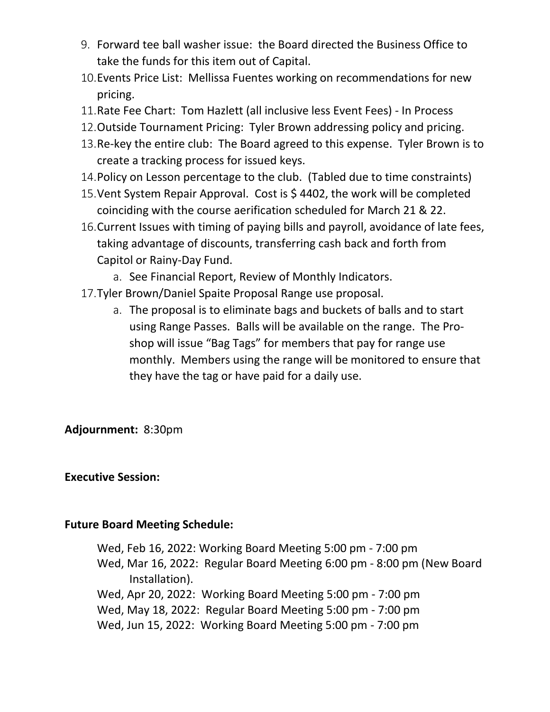- 9. Forward tee ball washer issue: the Board directed the Business Office to take the funds for this item out of Capital.
- 10.Events Price List: Mellissa Fuentes working on recommendations for new pricing.
- 11.Rate Fee Chart: Tom Hazlett (all inclusive less Event Fees) In Process
- 12.Outside Tournament Pricing: Tyler Brown addressing policy and pricing.
- 13.Re-key the entire club: The Board agreed to this expense. Tyler Brown is to create a tracking process for issued keys.
- 14.Policy on Lesson percentage to the club. (Tabled due to time constraints)
- 15.Vent System Repair Approval. Cost is \$ 4402, the work will be completed coinciding with the course aerification scheduled for March 21 & 22.
- 16.Current Issues with timing of paying bills and payroll, avoidance of late fees, taking advantage of discounts, transferring cash back and forth from Capitol or Rainy-Day Fund.
	- a. See Financial Report, Review of Monthly Indicators.
- 17.Tyler Brown/Daniel Spaite Proposal Range use proposal.
	- a. The proposal is to eliminate bags and buckets of balls and to start using Range Passes. Balls will be available on the range. The Proshop will issue "Bag Tags" for members that pay for range use monthly. Members using the range will be monitored to ensure that they have the tag or have paid for a daily use.

**Adjournment:** 8:30pm

# **Executive Session:**

# **Future Board Meeting Schedule:**

Wed, Feb 16, 2022: Working Board Meeting 5:00 pm - 7:00 pm Wed, Mar 16, 2022: Regular Board Meeting 6:00 pm - 8:00 pm (New Board Installation). Wed, Apr 20, 2022: Working Board Meeting 5:00 pm - 7:00 pm Wed, May 18, 2022: Regular Board Meeting 5:00 pm - 7:00 pm Wed, Jun 15, 2022: Working Board Meeting 5:00 pm - 7:00 pm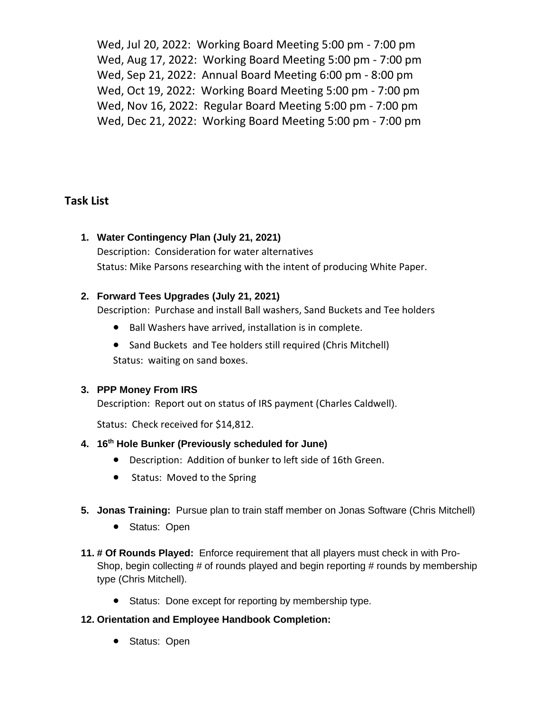Wed, Jul 20, 2022: Working Board Meeting 5:00 pm - 7:00 pm Wed, Aug 17, 2022: Working Board Meeting 5:00 pm - 7:00 pm Wed, Sep 21, 2022: Annual Board Meeting 6:00 pm - 8:00 pm Wed, Oct 19, 2022: Working Board Meeting 5:00 pm - 7:00 pm Wed, Nov 16, 2022: Regular Board Meeting 5:00 pm - 7:00 pm Wed, Dec 21, 2022: Working Board Meeting 5:00 pm - 7:00 pm

### **Task List**

**1. Water Contingency Plan (July 21, 2021)** Description: Consideration for water alternatives Status: Mike Parsons researching with the intent of producing White Paper.

### **2. Forward Tees Upgrades (July 21, 2021)**

Description: Purchase and install Ball washers, Sand Buckets and Tee holders

- Ball Washers have arrived, installation is in complete.
- Sand Buckets and Tee holders still required (Chris Mitchell) Status: waiting on sand boxes.

#### **3. PPP Money From IRS**

Description: Report out on status of IRS payment (Charles Caldwell).

Status: Check received for \$14,812.

#### **4. 16th Hole Bunker (Previously scheduled for June)**

- Description: Addition of bunker to left side of 16th Green.
- Status: Moved to the Spring
- **5. Jonas Training:** Pursue plan to train staff member on Jonas Software (Chris Mitchell)
	- Status: Open
- **11. # Of Rounds Played:** Enforce requirement that all players must check in with Pro-Shop, begin collecting # of rounds played and begin reporting # rounds by membership type (Chris Mitchell).
	- Status: Done except for reporting by membership type.

### **12. Orientation and Employee Handbook Completion:**

• Status: Open